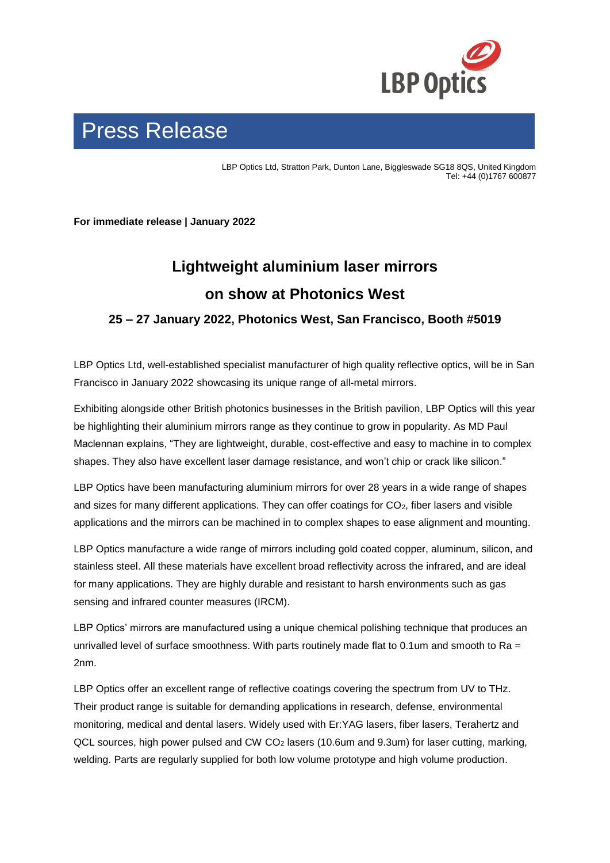

# Press Release

LBP Optics Ltd, Stratton Park, Dunton Lane, Biggleswade SG18 8QS, United Kingdom Tel: +44 (0)1767 600877

**For immediate release | January 2022**

### **Lightweight aluminium laser mirrors on show at Photonics West**

**25 – 27 January 2022, Photonics West, San Francisco, Booth #5019**

LBP Optics Ltd, well-established specialist manufacturer of high quality reflective optics, will be in San Francisco in January 2022 showcasing its unique range of all-metal mirrors.

Exhibiting alongside other British photonics businesses in the British pavilion, LBP Optics will this year be highlighting their aluminium mirrors range as they continue to grow in popularity. As MD Paul Maclennan explains, "They are lightweight, durable, cost-effective and easy to machine in to complex shapes. They also have excellent laser damage resistance, and won't chip or crack like silicon."

LBP Optics have been manufacturing aluminium mirrors for over 28 years in a wide range of shapes and sizes for many different applications. They can offer coatings for CO<sub>2</sub>, fiber lasers and visible applications and the mirrors can be machined in to complex shapes to ease alignment and mounting.

LBP Optics manufacture a wide range of mirrors including gold coated copper, aluminum, silicon, and stainless steel. All these materials have excellent broad reflectivity across the infrared, and are ideal for many applications. They are highly durable and resistant to harsh environments such as gas sensing and infrared counter measures (IRCM).

LBP Optics' mirrors are manufactured using a unique chemical polishing technique that produces an unrivalled level of surface smoothness. With parts routinely made flat to 0.1um and smooth to Ra  $=$ 2nm.

LBP Optics offer an excellent range of reflective coatings covering the spectrum from UV to THz. Their product range is suitable for demanding applications in research, defense, environmental monitoring, medical and dental lasers. Widely used with Er:YAG lasers, fiber lasers, Terahertz and QCL sources, high power pulsed and CW CO<sup>2</sup> lasers (10.6um and 9.3um) for laser cutting, marking, welding. Parts are regularly supplied for both low volume prototype and high volume production.